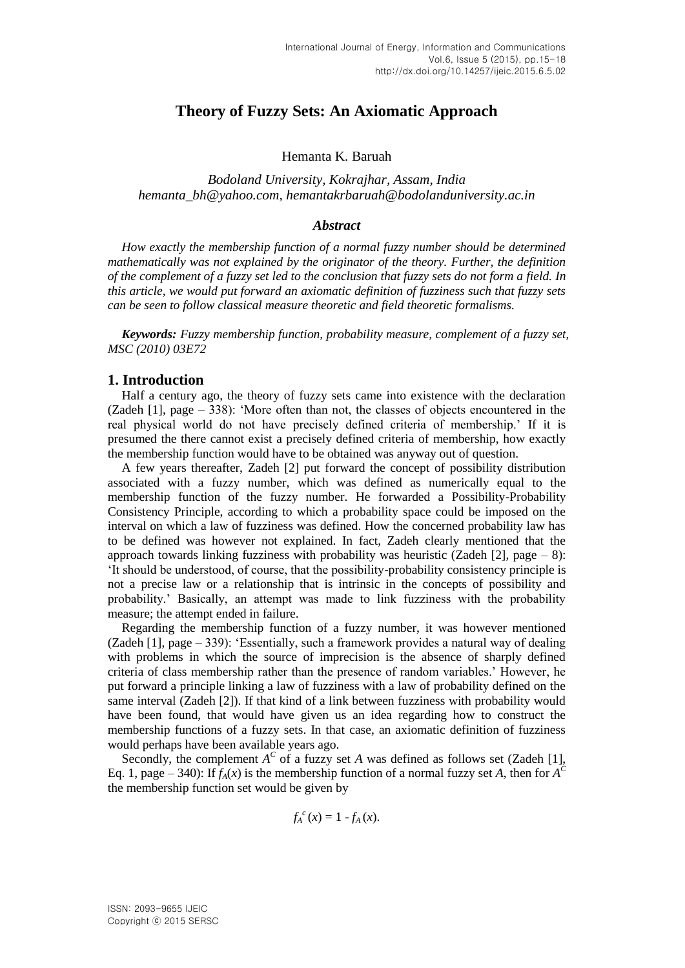# **Theory of Fuzzy Sets: An Axiomatic Approach**

Hemanta K. Baruah

*Bodoland University, Kokrajhar, Assam, India hemanta\_bh@yahoo.com, hemantakrbaruah@bodolanduniversity.ac.in* 

#### *Abstract*

*How exactly the membership function of a normal fuzzy number should be determined mathematically was not explained by the originator of the theory. Further, the definition of the complement of a fuzzy set led to the conclusion that fuzzy sets do not form a field. In this article, we would put forward an axiomatic definition of fuzziness such that fuzzy sets can be seen to follow classical measure theoretic and field theoretic formalisms.*

*Keywords: Fuzzy membership function, probability measure, complement of a fuzzy set, MSC (2010) 03E72*

# **1. Introduction**

Half a century ago, the theory of fuzzy sets came into existence with the declaration (Zadeh [1], page – 338): 'More often than not, the classes of objects encountered in the real physical world do not have precisely defined criteria of membership.' If it is presumed the there cannot exist a precisely defined criteria of membership, how exactly the membership function would have to be obtained was anyway out of question.

A few years thereafter, Zadeh [2] put forward the concept of possibility distribution associated with a fuzzy number, which was defined as numerically equal to the membership function of the fuzzy number. He forwarded a Possibility-Probability Consistency Principle, according to which a probability space could be imposed on the interval on which a law of fuzziness was defined. How the concerned probability law has to be defined was however not explained. In fact, Zadeh clearly mentioned that the approach towards linking fuzziness with probability was heuristic (Zadeh [2], page  $- 8$ ): 'It should be understood, of course, that the possibility-probability consistency principle is not a precise law or a relationship that is intrinsic in the concepts of possibility and probability.' Basically, an attempt was made to link fuzziness with the probability measure; the attempt ended in failure.

Regarding the membership function of a fuzzy number, it was however mentioned (Zadeh [1], page – 339): 'Essentially, such a framework provides a natural way of dealing with problems in which the source of imprecision is the absence of sharply defined criteria of class membership rather than the presence of random variables.' However, he put forward a principle linking a law of fuzziness with a law of probability defined on the same interval (Zadeh [2]). If that kind of a link between fuzziness with probability would have been found, that would have given us an idea regarding how to construct the membership functions of a fuzzy sets. In that case, an axiomatic definition of fuzziness would perhaps have been available years ago.

Secondly, the complement  $A^C$  of a fuzzy set *A* was defined as follows set (Zadeh [1], Eq. 1, page – 340): If  $f_A(x)$  is the membership function of a normal fuzzy set *A*, then for  $A^C$ the membership function set would be given by

$$
f_A^{\ c}(x)=1-f_A(x).
$$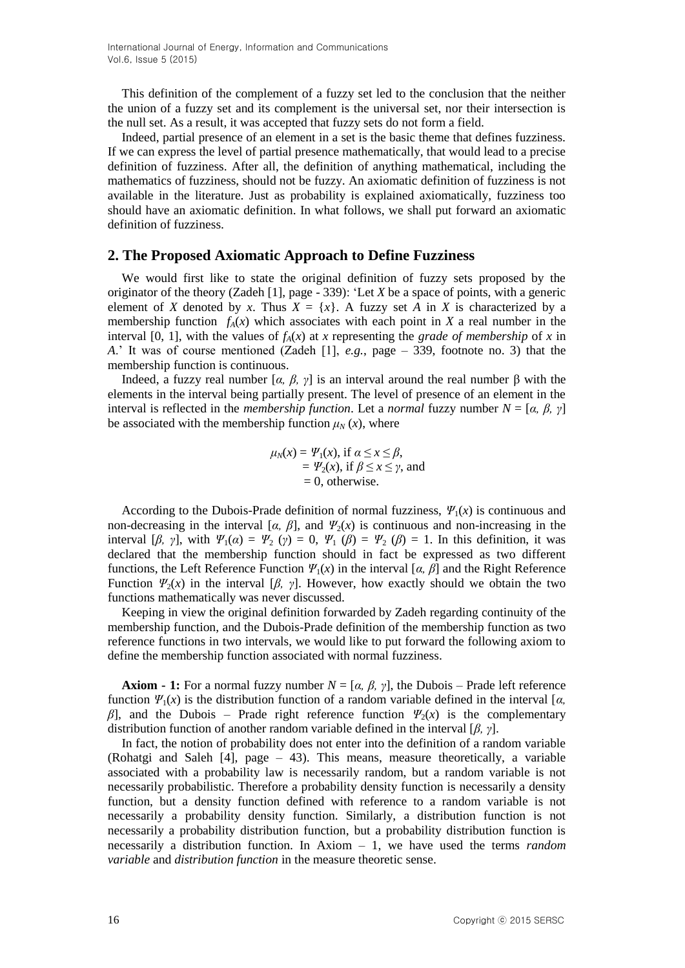International Journal of Energy, Information and Communications Vol.6, Issue 5 (2015)

This definition of the complement of a fuzzy set led to the conclusion that the neither the union of a fuzzy set and its complement is the universal set, nor their intersection is the null set. As a result, it was accepted that fuzzy sets do not form a field.

Indeed, partial presence of an element in a set is the basic theme that defines fuzziness. If we can express the level of partial presence mathematically, that would lead to a precise definition of fuzziness. After all, the definition of anything mathematical, including the mathematics of fuzziness, should not be fuzzy. An axiomatic definition of fuzziness is not available in the literature. Just as probability is explained axiomatically, fuzziness too should have an axiomatic definition. In what follows, we shall put forward an axiomatic definition of fuzziness.

# **2. The Proposed Axiomatic Approach to Define Fuzziness**

We would first like to state the original definition of fuzzy sets proposed by the originator of the theory (Zadeh [1], page - 339): 'Let *X* be a space of points, with a generic element of *X* denoted by *x*. Thus  $X = \{x\}$ . A fuzzy set *A* in *X* is characterized by a membership function  $f_A(x)$  which associates with each point in *X* a real number in the interval [0, 1], with the values of  $f_A(x)$  at *x* representing the *grade of membership* of *x* in *A*.' It was of course mentioned (Zadeh [1], *e.g.*, page – 339, footnote no. 3) that the membership function is continuous.

Indeed, a fuzzy real number [*α, β, γ*] is an interval around the real number β with the elements in the interval being partially present. The level of presence of an element in the interval is reflected in the *membership function*. Let a *normal* fuzzy number *N* = [*α, β, γ*] be associated with the membership function  $\mu_N(x)$ , where

$$
\mu_N(x) = \Psi_1(x), \text{ if } \alpha \le x \le \beta, \n= \Psi_2(x), \text{ if } \beta \le x \le \gamma, \text{ and } \n= 0, \text{ otherwise.}
$$

According to the Dubois-Prade definition of normal fuzziness,  $\Psi_1(x)$  is continuous and non-decreasing in the interval [ $\alpha$ ,  $\beta$ ], and  $\Psi_2(x)$  is continuous and non-increasing in the interval [ $\beta$ ,  $\gamma$ ], with  $\Psi_1(\alpha) = \Psi_2(\gamma) = 0$ ,  $\Psi_1(\beta) = \Psi_2(\beta) = 1$ . In this definition, it was declared that the membership function should in fact be expressed as two different functions, the Left Reference Function  $\Psi_1(x)$  in the interval [ $\alpha$ ,  $\beta$ ] and the Right Reference Function  $\Psi_2(x)$  in the interval [ $\beta$ ,  $\gamma$ ]. However, how exactly should we obtain the two functions mathematically was never discussed.

Keeping in view the original definition forwarded by Zadeh regarding continuity of the membership function, and the Dubois-Prade definition of the membership function as two reference functions in two intervals, we would like to put forward the following axiom to define the membership function associated with normal fuzziness.

**Axiom - 1:** For a normal fuzzy number  $N = [\alpha, \beta, \gamma]$ , the Dubois – Prade left reference function *Ψ*1(*x*) is the distribution function of a random variable defined in the interval [*α, β*], and the Dubois – Prade right reference function  $\Psi_2(x)$  is the complementary distribution function of another random variable defined in the interval [*β, γ*].

In fact, the notion of probability does not enter into the definition of a random variable (Rohatgi and Saleh [4], page – 43). This means, measure theoretically, a variable associated with a probability law is necessarily random, but a random variable is not necessarily probabilistic. Therefore a probability density function is necessarily a density function, but a density function defined with reference to a random variable is not necessarily a probability density function. Similarly, a distribution function is not necessarily a probability distribution function, but a probability distribution function is necessarily a distribution function. In Axiom – 1, we have used the terms *random variable* and *distribution function* in the measure theoretic sense.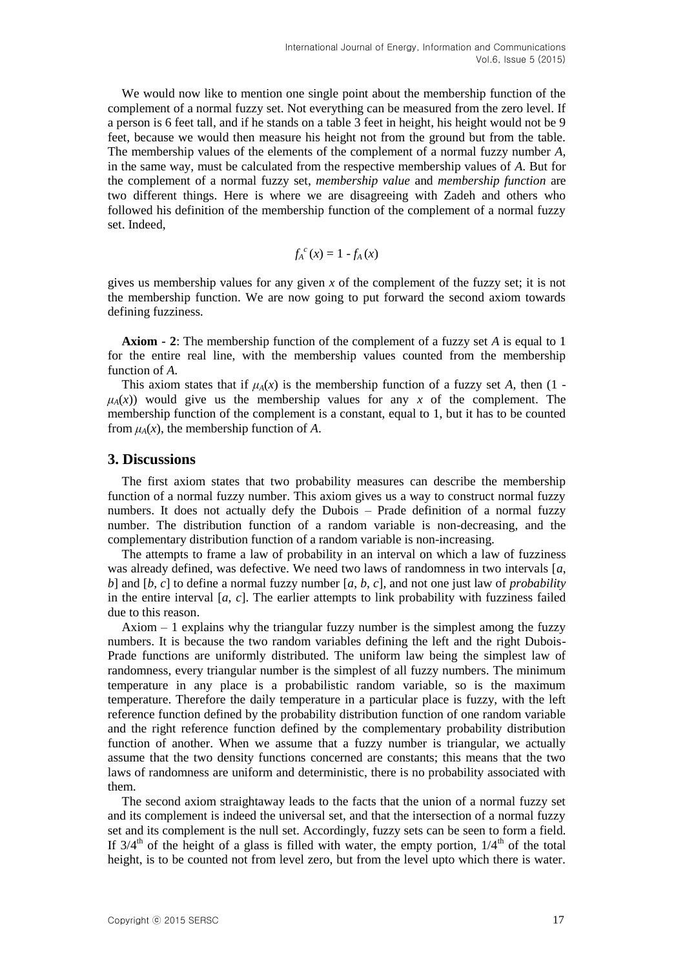We would now like to mention one single point about the membership function of the complement of a normal fuzzy set. Not everything can be measured from the zero level. If a person is 6 feet tall, and if he stands on a table 3 feet in height, his height would not be 9 feet, because we would then measure his height not from the ground but from the table. The membership values of the elements of the complement of a normal fuzzy number *A*, in the same way, must be calculated from the respective membership values of *A*. But for the complement of a normal fuzzy set, *membership value* and *membership function* are two different things. Here is where we are disagreeing with Zadeh and others who followed his definition of the membership function of the complement of a normal fuzzy set. Indeed,

$$
f_A^{\ c}(x)=1-f_A(x)
$$

gives us membership values for any given *x* of the complement of the fuzzy set; it is not the membership function. We are now going to put forward the second axiom towards defining fuzziness.

**Axiom - 2**: The membership function of the complement of a fuzzy set *A* is equal to 1 for the entire real line, with the membership values counted from the membership function of *A*.

This axiom states that if  $\mu_A(x)$  is the membership function of a fuzzy set *A*, then (1 - $\mu_A(x)$ ) would give us the membership values for any *x* of the complement. The membership function of the complement is a constant, equal to 1, but it has to be counted from  $\mu_A(x)$ , the membership function of A.

## **3. Discussions**

The first axiom states that two probability measures can describe the membership function of a normal fuzzy number. This axiom gives us a way to construct normal fuzzy numbers. It does not actually defy the Dubois – Prade definition of a normal fuzzy number. The distribution function of a random variable is non-decreasing, and the complementary distribution function of a random variable is non-increasing.

The attempts to frame a law of probability in an interval on which a law of fuzziness was already defined, was defective. We need two laws of randomness in two intervals [*a*, *b*] and [*b*, *c*] to define a normal fuzzy number [*a*, *b*, *c*], and not one just law of *probability*  in the entire interval [*a*, *c*]. The earlier attempts to link probability with fuzziness failed due to this reason.

Axiom – 1 explains why the triangular fuzzy number is the simplest among the fuzzy numbers. It is because the two random variables defining the left and the right Dubois-Prade functions are uniformly distributed. The uniform law being the simplest law of randomness, every triangular number is the simplest of all fuzzy numbers. The minimum temperature in any place is a probabilistic random variable, so is the maximum temperature. Therefore the daily temperature in a particular place is fuzzy, with the left reference function defined by the probability distribution function of one random variable and the right reference function defined by the complementary probability distribution function of another. When we assume that a fuzzy number is triangular, we actually assume that the two density functions concerned are constants; this means that the two laws of randomness are uniform and deterministic, there is no probability associated with them.

The second axiom straightaway leads to the facts that the union of a normal fuzzy set and its complement is indeed the universal set, and that the intersection of a normal fuzzy set and its complement is the null set. Accordingly, fuzzy sets can be seen to form a field. If  $3/4<sup>th</sup>$  of the height of a glass is filled with water, the empty portion,  $1/4<sup>th</sup>$  of the total height, is to be counted not from level zero, but from the level upto which there is water.